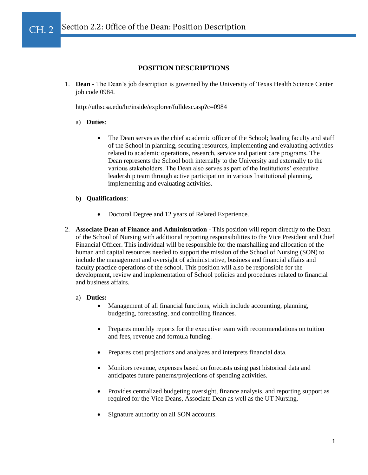#### Section 2.2: Office of the Dean: Position Description İ CH. 2

# **POSITION DESCRIPTIONS**

1. **Dean -** The Dean's job description is governed by the University of Texas Health Science Center job code 0984.

# <http://uthscsa.edu/hr/inside/explorer/fulldesc.asp?c=0984>

## a) **Duties**:

The Dean serves as the chief academic officer of the School; leading faculty and staff of the School in planning, securing resources, implementing and evaluating activities related to academic operations, research, service and patient care programs. The Dean represents the School both internally to the University and externally to the various stakeholders. The Dean also serves as part of the Institutions' executive leadership team through active participation in various Institutional planning, implementing and evaluating activities.

# b) **Qualifications**:

- Doctoral Degree and 12 years of Related Experience.
- 2. **Associate Dean of Finance and Administration** This position will report directly to the Dean of the School of Nursing with additional reporting responsibilities to the Vice President and Chief Financial Officer. This individual will be responsible for the marshalling and allocation of the human and capital resources needed to support the mission of the School of Nursing (SON) to include the management and oversight of administrative, business and financial affairs and faculty practice operations of the school. This position will also be responsible for the development, review and implementation of School policies and procedures related to financial and business affairs.

#### a) **Duties:**

- Management of all financial functions, which include accounting, planning, budgeting, forecasting, and controlling finances.
- Prepares monthly reports for the executive team with recommendations on tuition and fees, revenue and formula funding.
- Prepares cost projections and analyzes and interprets financial data.
- Monitors revenue, expenses based on forecasts using past historical data and anticipates future patterns/projections of spending activities.
- Provides centralized budgeting oversight, finance analysis, and reporting support as required for the Vice Deans, Associate Dean as well as the UT Nursing.
- Signature authority on all SON accounts.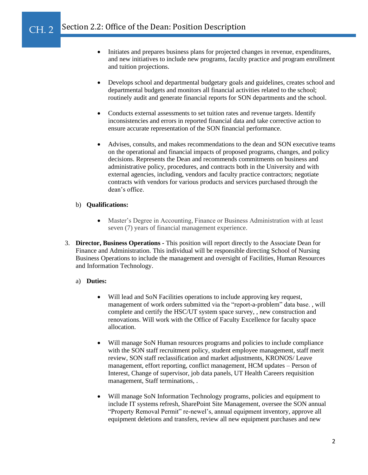#### Section 2.2: Office of the Dean: Position Description CH. 2

- Initiates and prepares business plans for projected changes in revenue, expenditures, and new initiatives to include new programs, faculty practice and program enrollment and tuition projections.
- Develops school and departmental budgetary goals and guidelines, creates school and departmental budgets and monitors all financial activities related to the school; routinely audit and generate financial reports for SON departments and the school.
- Conducts external assessments to set tuition rates and revenue targets. Identify inconsistencies and errors in reported financial data and take corrective action to ensure accurate representation of the SON financial performance.
- Advises, consults, and makes recommendations to the dean and SON executive teams on the operational and financial impacts of proposed programs, changes, and policy decisions. Represents the Dean and recommends commitments on business and administrative policy, procedures, and contracts both in the University and with external agencies, including, vendors and faculty practice contractors; negotiate contracts with vendors for various products and services purchased through the dean's office.

## b) **Qualifications:**

İ

- Master's Degree in Accounting, Finance or Business Administration with at least seven (7) years of financial management experience.
- 3. **Director, Business Operations -** This position will report directly to the Associate Dean for Finance and Administration. This individual will be responsible directing School of Nursing Business Operations to include the management and oversight of Facilities, Human Resources and Information Technology.

## a) **Duties:**

- Will lead and SoN Facilities operations to include approving key request, management of work orders submitted via the "report-a-problem" data base. , will complete and certify the HSC/UT system space survey, , new construction and renovations. Will work with the Office of Faculty Excellence for faculty space allocation.
- Will manage SoN Human resources programs and policies to include compliance with the SON staff recruitment policy, student employee management, staff merit review, SON staff reclassification and market adjustments, KRONOS/ Leave management, effort reporting, conflict management, HCM updates – Person of Interest, Change of supervisor, job data panels, UT Health Careers requisition management, Staff terminations, .
- Will manage SoN Information Technology programs, policies and equipment to include IT systems refresh, SharePoint Site Management, oversee the SON annual "Property Removal Permit" re-newel's, annual equipment inventory, approve all equipment deletions and transfers, review all new equipment purchases and new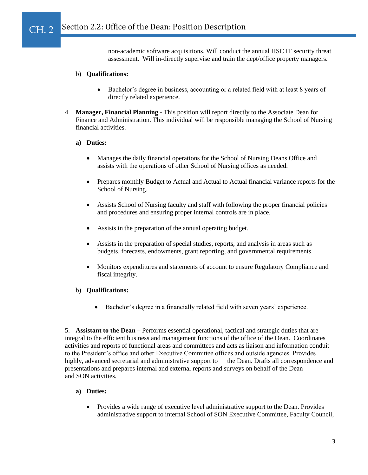#### Section 2.2: Office of the Dean: Position Description İ CH. 2

non-academic software acquisitions, Will conduct the annual HSC IT security threat assessment. Will in-directly supervise and train the dept/office property managers.

## b) **Qualifications:**

- Bachelor's degree in business, accounting or a related field with at least 8 years of directly related experience.
- 4. **Manager, Financial Planning -** This position will report directly to the Associate Dean for Finance and Administration. This individual will be responsible managing the School of Nursing financial activities.

#### **a) Duties:**

- Manages the daily financial operations for the School of Nursing Deans Office and assists with the operations of other School of Nursing offices as needed.
- Prepares monthly Budget to Actual and Actual to Actual financial variance reports for the School of Nursing.
- Assists School of Nursing faculty and staff with following the proper financial policies and procedures and ensuring proper internal controls are in place.
- Assists in the preparation of the annual operating budget.
- Assists in the preparation of special studies, reports, and analysis in areas such as budgets, forecasts, endowments, grant reporting, and governmental requirements.
- Monitors expenditures and statements of account to ensure Regulatory Compliance and fiscal integrity.

## b) **Qualifications:**

• Bachelor's degree in a financially related field with seven years' experience.

5. **Assistant to the Dean –** Performs essential operational, tactical and strategic duties that are integral to the efficient business and management functions of the office of the Dean. Coordinates activities and reports of functional areas and committees and acts as liaison and information conduit to the President's office and other Executive Committee offices and outside agencies. Provides highly, advanced secretarial and administrative support to the Dean. Drafts all correspondence and presentations and prepares internal and external reports and surveys on behalf of the Dean and SON activities.

# **a) Duties:**

• Provides a wide range of executive level administrative support to the Dean. Provides administrative support to internal School of SON Executive Committee, Faculty Council,